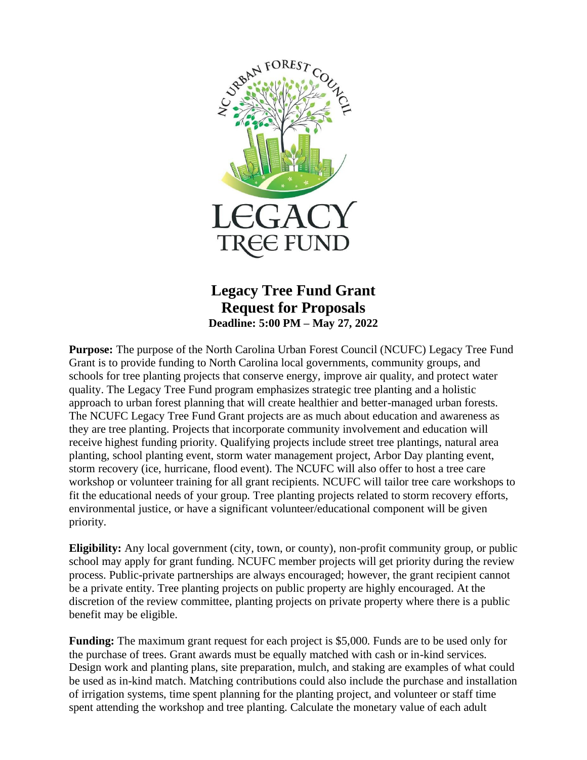

# **Legacy Tree Fund Grant Request for Proposals Deadline: 5:00 PM – May 27, 2022**

**Purpose:** The purpose of the North Carolina Urban Forest Council (NCUFC) Legacy Tree Fund Grant is to provide funding to North Carolina local governments, community groups, and schools for tree planting projects that conserve energy, improve air quality, and protect water quality. The Legacy Tree Fund program emphasizes strategic tree planting and a holistic approach to urban forest planning that will create healthier and better-managed urban forests. The NCUFC Legacy Tree Fund Grant projects are as much about education and awareness as they are tree planting. Projects that incorporate community involvement and education will receive highest funding priority. Qualifying projects include street tree plantings, natural area planting, school planting event, storm water management project, Arbor Day planting event, storm recovery (ice, hurricane, flood event). The NCUFC will also offer to host a tree care workshop or volunteer training for all grant recipients. NCUFC will tailor tree care workshops to fit the educational needs of your group. Tree planting projects related to storm recovery efforts, environmental justice, or have a significant volunteer/educational component will be given priority.

**Eligibility:** Any local government (city, town, or county), non-profit community group, or public school may apply for grant funding. NCUFC member projects will get priority during the review process. Public-private partnerships are always encouraged; however, the grant recipient cannot be a private entity. Tree planting projects on public property are highly encouraged. At the discretion of the review committee, planting projects on private property where there is a public benefit may be eligible.

**Funding:** The maximum grant request for each project is \$5,000. Funds are to be used only for the purchase of trees. Grant awards must be equally matched with cash or in-kind services. Design work and planting plans, site preparation, mulch, and staking are examples of what could be used as in-kind match. Matching contributions could also include the purchase and installation of irrigation systems, time spent planning for the planting project, and volunteer or staff time spent attending the workshop and tree planting. Calculate the monetary value of each adult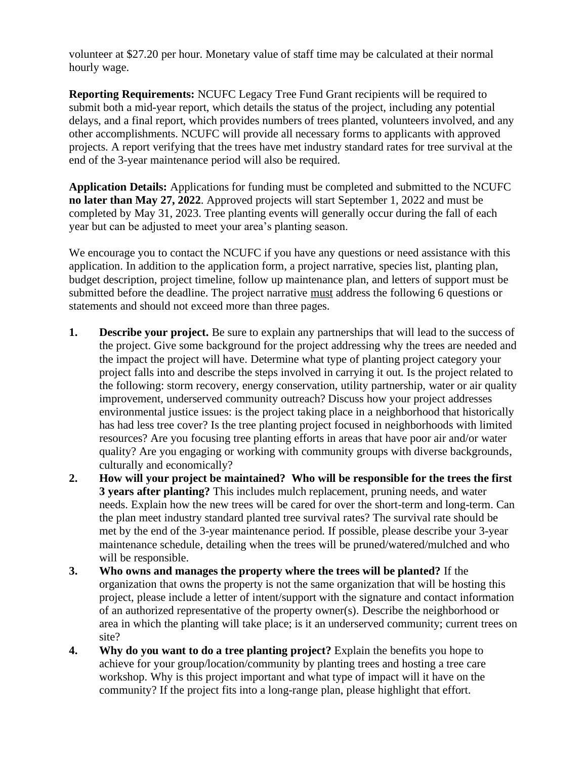volunteer at \$27.20 per hour. Monetary value of staff time may be calculated at their normal hourly wage.

**Reporting Requirements:** NCUFC Legacy Tree Fund Grant recipients will be required to submit both a mid-year report, which details the status of the project, including any potential delays, and a final report, which provides numbers of trees planted, volunteers involved, and any other accomplishments. NCUFC will provide all necessary forms to applicants with approved projects. A report verifying that the trees have met industry standard rates for tree survival at the end of the 3-year maintenance period will also be required.

**Application Details:** Applications for funding must be completed and submitted to the NCUFC **no later than May 27, 2022**. Approved projects will start September 1, 2022 and must be completed by May 31, 2023. Tree planting events will generally occur during the fall of each year but can be adjusted to meet your area's planting season.

We encourage you to contact the NCUFC if you have any questions or need assistance with this application. In addition to the application form, a project narrative, species list, planting plan, budget description, project timeline, follow up maintenance plan, and letters of support must be submitted before the deadline. The project narrative must address the following 6 questions or statements and should not exceed more than three pages.

- **1. Describe your project.** Be sure to explain any partnerships that will lead to the success of the project. Give some background for the project addressing why the trees are needed and the impact the project will have. Determine what type of planting project category your project falls into and describe the steps involved in carrying it out. Is the project related to the following: storm recovery, energy conservation, utility partnership, water or air quality improvement, underserved community outreach? Discuss how your project addresses environmental justice issues: is the project taking place in a neighborhood that historically has had less tree cover? Is the tree planting project focused in neighborhoods with limited resources? Are you focusing tree planting efforts in areas that have poor air and/or water quality? Are you engaging or working with community groups with diverse backgrounds, culturally and economically?
- **2. How will your project be maintained? Who will be responsible for the trees the first 3 years after planting?** This includes mulch replacement, pruning needs, and water needs. Explain how the new trees will be cared for over the short-term and long-term. Can the plan meet industry standard planted tree survival rates? The survival rate should be met by the end of the 3-year maintenance period. If possible, please describe your 3-year maintenance schedule, detailing when the trees will be pruned/watered/mulched and who will be responsible.
- **3. Who owns and manages the property where the trees will be planted?** If the organization that owns the property is not the same organization that will be hosting this project, please include a letter of intent/support with the signature and contact information of an authorized representative of the property owner(s). Describe the neighborhood or area in which the planting will take place; is it an underserved community; current trees on site?
- **4. Why do you want to do a tree planting project?** Explain the benefits you hope to achieve for your group/location/community by planting trees and hosting a tree care workshop. Why is this project important and what type of impact will it have on the community? If the project fits into a long-range plan, please highlight that effort.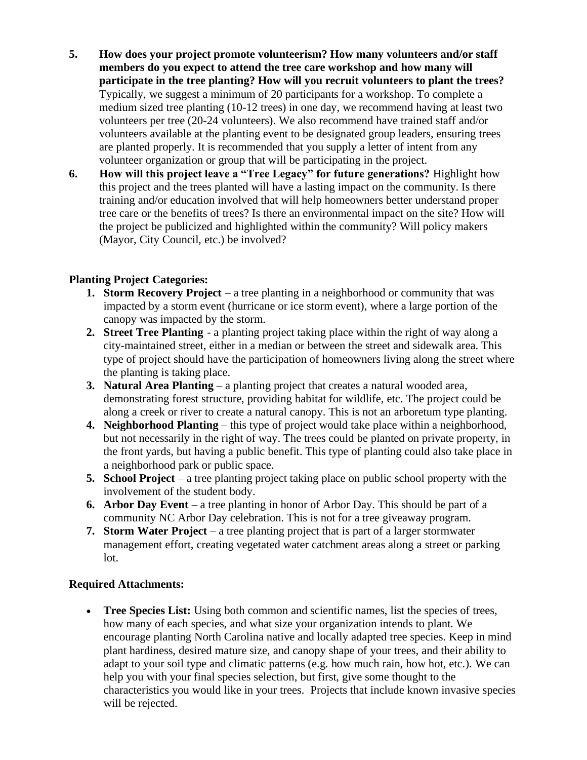- **5. How does your project promote volunteerism? How many volunteers and/or staff members do you expect to attend the tree care workshop and how many will participate in the tree planting? How will you recruit volunteers to plant the trees?**  Typically, we suggest a minimum of 20 participants for a workshop. To complete a medium sized tree planting (10-12 trees) in one day, we recommend having at least two volunteers per tree (20-24 volunteers). We also recommend have trained staff and/or volunteers available at the planting event to be designated group leaders, ensuring trees are planted properly. It is recommended that you supply a letter of intent from any volunteer organization or group that will be participating in the project.
- **6. How will this project leave a "Tree Legacy" for future generations?** Highlight how this project and the trees planted will have a lasting impact on the community. Is there training and/or education involved that will help homeowners better understand proper tree care or the benefits of trees? Is there an environmental impact on the site? How will the project be publicized and highlighted within the community? Will policy makers (Mayor, City Council, etc.) be involved?

## **Planting Project Categories:**

- **1. Storm Recovery Project** a tree planting in a neighborhood or community that was impacted by a storm event (hurricane or ice storm event), where a large portion of the canopy was impacted by the storm.
- **2. Street Tree Planting** a planting project taking place within the right of way along a city-maintained street, either in a median or between the street and sidewalk area. This type of project should have the participation of homeowners living along the street where the planting is taking place.
- **3. Natural Area Planting** a planting project that creates a natural wooded area, demonstrating forest structure, providing habitat for wildlife, etc. The project could be along a creek or river to create a natural canopy. This is not an arboretum type planting.
- **4. Neighborhood Planting** this type of project would take place within a neighborhood, but not necessarily in the right of way. The trees could be planted on private property, in the front yards, but having a public benefit. This type of planting could also take place in a neighborhood park or public space.
- **5. School Project** a tree planting project taking place on public school property with the involvement of the student body.
- **6. Arbor Day Event** a tree planting in honor of Arbor Day. This should be part of a community NC Arbor Day celebration. This is not for a tree giveaway program.
- **7. Storm Water Project** a tree planting project that is part of a larger stormwater management effort, creating vegetated water catchment areas along a street or parking lot.

### **Required Attachments:**

• **Tree Species List:** Using both common and scientific names, list the species of trees, how many of each species, and what size your organization intends to plant. We encourage planting North Carolina native and locally adapted tree species. Keep in mind plant hardiness, desired mature size, and canopy shape of your trees, and their ability to adapt to your soil type and climatic patterns (e.g. how much rain, how hot, etc.). We can help you with your final species selection, but first, give some thought to the characteristics you would like in your trees. Projects that include known invasive species will be rejected.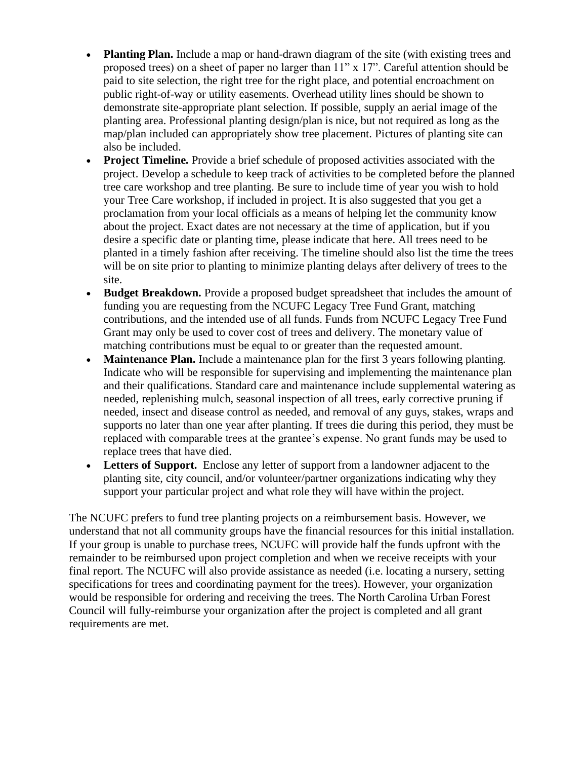- **Planting Plan.** Include a map or hand-drawn diagram of the site (with existing trees and proposed trees) on a sheet of paper no larger than 11" x 17". Careful attention should be paid to site selection, the right tree for the right place, and potential encroachment on public right-of-way or utility easements. Overhead utility lines should be shown to demonstrate site-appropriate plant selection. If possible, supply an aerial image of the planting area. Professional planting design/plan is nice, but not required as long as the map/plan included can appropriately show tree placement. Pictures of planting site can also be included.
- **Project Timeline.** Provide a brief schedule of proposed activities associated with the project. Develop a schedule to keep track of activities to be completed before the planned tree care workshop and tree planting. Be sure to include time of year you wish to hold your Tree Care workshop, if included in project. It is also suggested that you get a proclamation from your local officials as a means of helping let the community know about the project. Exact dates are not necessary at the time of application, but if you desire a specific date or planting time, please indicate that here. All trees need to be planted in a timely fashion after receiving. The timeline should also list the time the trees will be on site prior to planting to minimize planting delays after delivery of trees to the site.
- **Budget Breakdown.** Provide a proposed budget spreadsheet that includes the amount of funding you are requesting from the NCUFC Legacy Tree Fund Grant, matching contributions, and the intended use of all funds. Funds from NCUFC Legacy Tree Fund Grant may only be used to cover cost of trees and delivery. The monetary value of matching contributions must be equal to or greater than the requested amount.
- **Maintenance Plan.** Include a maintenance plan for the first 3 years following planting. Indicate who will be responsible for supervising and implementing the maintenance plan and their qualifications. Standard care and maintenance include supplemental watering as needed, replenishing mulch, seasonal inspection of all trees, early corrective pruning if needed, insect and disease control as needed, and removal of any guys, stakes, wraps and supports no later than one year after planting. If trees die during this period, they must be replaced with comparable trees at the grantee's expense. No grant funds may be used to replace trees that have died.
- **Letters of Support.** Enclose any letter of support from a landowner adjacent to the planting site, city council, and/or volunteer/partner organizations indicating why they support your particular project and what role they will have within the project.

The NCUFC prefers to fund tree planting projects on a reimbursement basis. However, we understand that not all community groups have the financial resources for this initial installation. If your group is unable to purchase trees, NCUFC will provide half the funds upfront with the remainder to be reimbursed upon project completion and when we receive receipts with your final report. The NCUFC will also provide assistance as needed (i.e. locating a nursery, setting specifications for trees and coordinating payment for the trees). However, your organization would be responsible for ordering and receiving the trees. The North Carolina Urban Forest Council will fully-reimburse your organization after the project is completed and all grant requirements are met.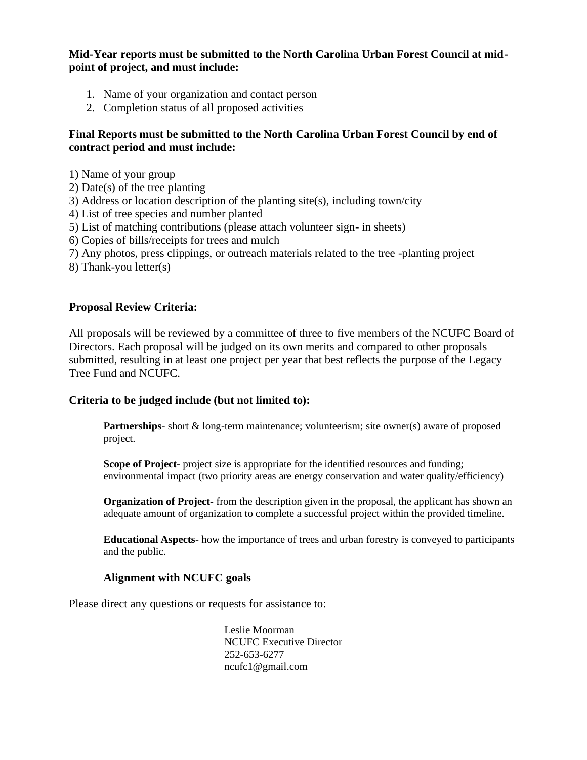#### **Mid-Year reports must be submitted to the North Carolina Urban Forest Council at midpoint of project, and must include:**

- 1. Name of your organization and contact person
- 2. Completion status of all proposed activities

### **Final Reports must be submitted to the North Carolina Urban Forest Council by end of contract period and must include:**

- 1) Name of your group
- 2) Date(s) of the tree planting
- 3) Address or location description of the planting site(s), including town/city
- 4) List of tree species and number planted
- 5) List of matching contributions (please attach volunteer sign- in sheets)
- 6) Copies of bills/receipts for trees and mulch
- 7) Any photos, press clippings, or outreach materials related to the tree -planting project
- 8) Thank-you letter(s)

#### **Proposal Review Criteria:**

All proposals will be reviewed by a committee of three to five members of the NCUFC Board of Directors. Each proposal will be judged on its own merits and compared to other proposals submitted, resulting in at least one project per year that best reflects the purpose of the Legacy Tree Fund and NCUFC.

#### **Criteria to be judged include (but not limited to):**

**Partnerships**- short & long-term maintenance; volunteerism; site owner(s) aware of proposed project.

**Scope of Project-** project size is appropriate for the identified resources and funding; environmental impact (two priority areas are energy conservation and water quality/efficiency)

**Organization of Project-** from the description given in the proposal, the applicant has shown an adequate amount of organization to complete a successful project within the provided timeline.

**Educational Aspects**- how the importance of trees and urban forestry is conveyed to participants and the public.

#### **Alignment with NCUFC goals**

Please direct any questions or requests for assistance to:

Leslie Moorman NCUFC Executive Director 252-653-6277 ncufc1@gmail.com